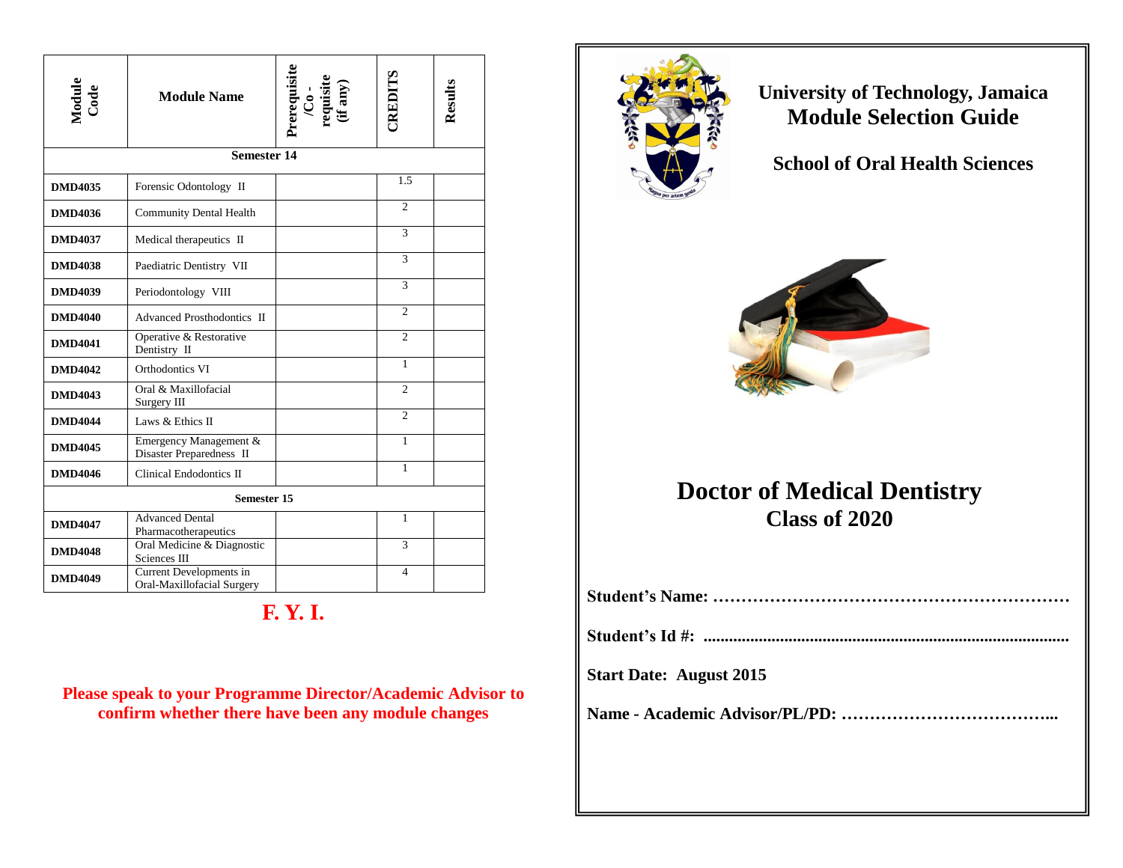| Module<br>Code     | <b>Module Name</b>                                    | Prerequisite<br>/Co -<br>requisite<br>(if any) | CREDITS        | Results |
|--------------------|-------------------------------------------------------|------------------------------------------------|----------------|---------|
|                    | <b>Semester 14</b>                                    |                                                |                |         |
| <b>DMD4035</b>     | Forensic Odontology II                                |                                                | 1.5            |         |
| <b>DMD4036</b>     | <b>Community Dental Health</b>                        |                                                | $\overline{c}$ |         |
| <b>DMD4037</b>     | Medical therapeutics II                               |                                                | 3              |         |
| <b>DMD4038</b>     | Paediatric Dentistry VII                              |                                                | 3              |         |
| <b>DMD4039</b>     | Periodontology VIII                                   |                                                | $\overline{3}$ |         |
| <b>DMD4040</b>     | Advanced Prosthodontics II                            |                                                | $\mathfrak{D}$ |         |
| <b>DMD4041</b>     | Operative & Restorative<br>Dentistry II               |                                                | $\overline{2}$ |         |
| <b>DMD4042</b>     | Orthodontics VI                                       |                                                | 1              |         |
| <b>DMD4043</b>     | Oral & Maxillofacial<br>Surgery III                   |                                                | $\overline{c}$ |         |
| <b>DMD4044</b>     | Laws & Ethics II                                      |                                                | $\overline{2}$ |         |
| <b>DMD4045</b>     | Emergency Management &<br>Disaster Preparedness II    |                                                | $\mathbf{1}$   |         |
| <b>DMD4046</b>     | Clinical Endodontics II                               |                                                | $\mathbf{1}$   |         |
| <b>Semester 15</b> |                                                       |                                                |                |         |
| <b>DMD4047</b>     | <b>Advanced Dental</b><br>Pharmacotherapeutics        |                                                | 1              |         |
| <b>DMD4048</b>     | Oral Medicine & Diagnostic<br>Sciences III            |                                                | 3              |         |
| <b>DMD4049</b>     | Current Developments in<br>Oral-Maxillofacial Surgery |                                                | 4              |         |

## **F. Y. I.**

**Please speak to your Programme Director/Academic Advisor to confirm whether there have been any module changes**



**University of Technology, Jamaica Module Selection Guide**

**School of Oral Health Sciences** 



## **Doctor of Medical Dentistry Class of 2020**

| <b>Start Date: August 2015</b> |
|--------------------------------|
|                                |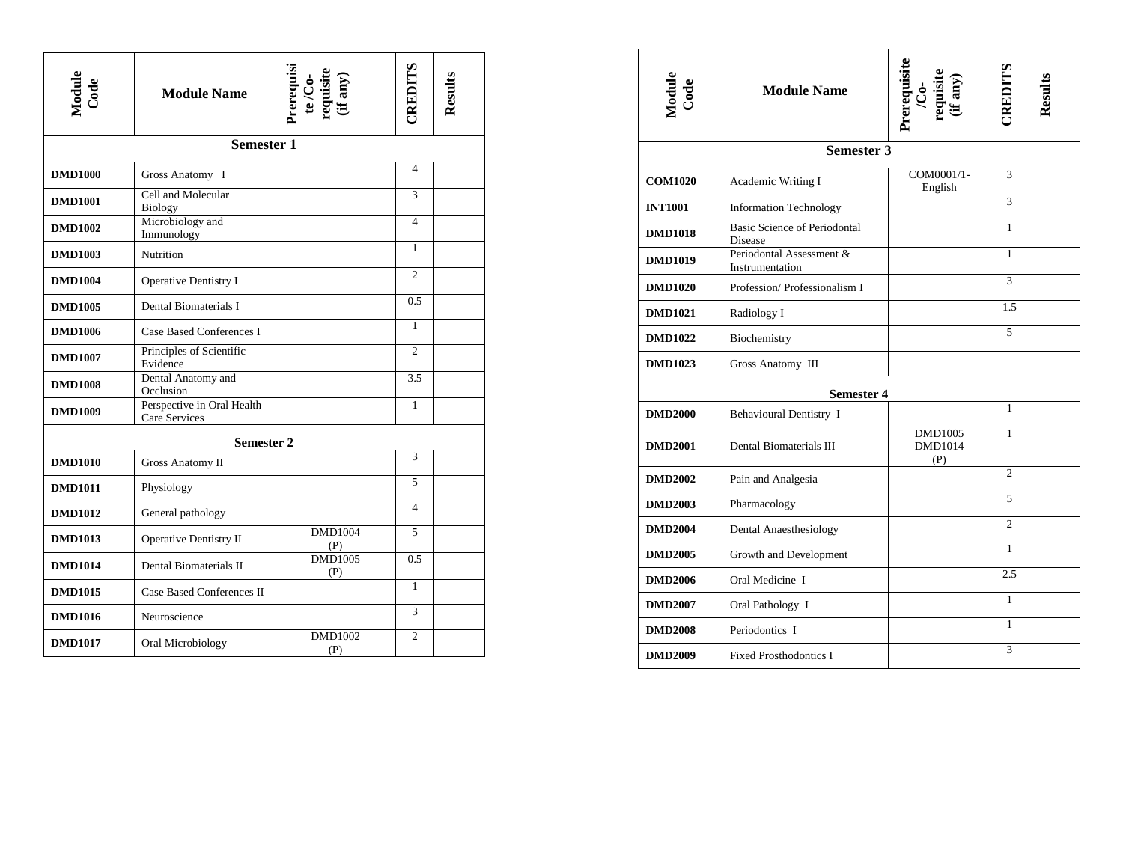| Module<br>Code | <b>Module Name</b>                          | Prerequisi<br>te /Co-<br>requisite<br>(if any) | <b>ELIGENTS</b> | Results |
|----------------|---------------------------------------------|------------------------------------------------|-----------------|---------|
|                | <b>Semester 1</b>                           |                                                |                 |         |
| <b>DMD1000</b> | Gross Anatomy I                             |                                                | 4               |         |
| <b>DMD1001</b> | Cell and Molecular<br>Biology               |                                                | 3               |         |
| <b>DMD1002</b> | Microbiology and<br>Immunology              |                                                | 4               |         |
| <b>DMD1003</b> | <b>Nutrition</b>                            |                                                | 1               |         |
| <b>DMD1004</b> | <b>Operative Dentistry I</b>                |                                                | $\overline{c}$  |         |
| <b>DMD1005</b> | Dental Biomaterials I                       |                                                | 0.5             |         |
| <b>DMD1006</b> | Case Based Conferences I                    |                                                | 1               |         |
| <b>DMD1007</b> | Principles of Scientific<br>Evidence        |                                                | $\overline{c}$  |         |
| <b>DMD1008</b> | Dental Anatomy and<br>Occlusion             |                                                | 3.5             |         |
| <b>DMD1009</b> | Perspective in Oral Health<br>Care Services |                                                | 1               |         |
|                | <b>Semester 2</b>                           |                                                |                 |         |
| <b>DMD1010</b> | <b>Gross Anatomy II</b>                     |                                                | 3               |         |
| <b>DMD1011</b> | Physiology                                  |                                                | 5               |         |
| <b>DMD1012</b> | General pathology                           |                                                | 4               |         |
| <b>DMD1013</b> | Operative Dentistry II                      | <b>DMD1004</b><br>(P)                          | 5               |         |
| <b>DMD1014</b> | Dental Biomaterials II                      | <b>DMD1005</b><br>(P)                          | 0.5             |         |
| <b>DMD1015</b> | Case Based Conferences II                   |                                                | 1               |         |
| <b>DMD1016</b> | Neuroscience                                |                                                | 3               |         |
| <b>DMD1017</b> | Oral Microbiology                           | <b>DMD1002</b><br>(P)                          | $\overline{c}$  |         |

| Module<br>Code | <b>Module Name</b>                                    | Prerequisite<br>/Co-<br>requisite<br>tif any) | CREDITS        | Results |
|----------------|-------------------------------------------------------|-----------------------------------------------|----------------|---------|
|                | <b>Semester 3</b>                                     |                                               |                |         |
| <b>COM1020</b> | Academic Writing I                                    | COM0001/1-<br>English                         | 3              |         |
| <b>INT1001</b> | <b>Information Technology</b>                         |                                               | 3              |         |
| <b>DMD1018</b> | <b>Basic Science of Periodontal</b><br><b>Disease</b> |                                               | 1              |         |
| <b>DMD1019</b> | Periodontal Assessment &<br>Instrumentation           |                                               | $\mathbf{1}$   |         |
| <b>DMD1020</b> | Profession/Professionalism I                          |                                               | 3              |         |
| <b>DMD1021</b> | Radiology I                                           |                                               | 1.5            |         |
| <b>DMD1022</b> | Biochemistry                                          |                                               | 5              |         |
| <b>DMD1023</b> | Gross Anatomy III                                     |                                               |                |         |
|                | <b>Semester 4</b>                                     |                                               |                |         |
| <b>DMD2000</b> | Behavioural Dentistry I                               |                                               | $\mathbf{1}$   |         |
| <b>DMD2001</b> | Dental Biomaterials III                               | <b>DMD1005</b><br><b>DMD1014</b><br>(P)       | 1              |         |
| <b>DMD2002</b> | Pain and Analgesia                                    |                                               | $\overline{2}$ |         |
| <b>DMD2003</b> | Pharmacology                                          |                                               | 5              |         |
| <b>DMD2004</b> | Dental Anaesthesiology                                |                                               | $\mathfrak{2}$ |         |
| <b>DMD2005</b> | Growth and Development                                |                                               | $\mathbf{1}$   |         |
| <b>DMD2006</b> | Oral Medicine I                                       |                                               | 2.5            |         |
| <b>DMD2007</b> | Oral Pathology I                                      |                                               | $\mathbf{1}$   |         |
| <b>DMD2008</b> | Periodontics I                                        |                                               | $\mathbf{1}$   |         |
| <b>DMD2009</b> | <b>Fixed Prosthodontics I</b>                         |                                               | 3              |         |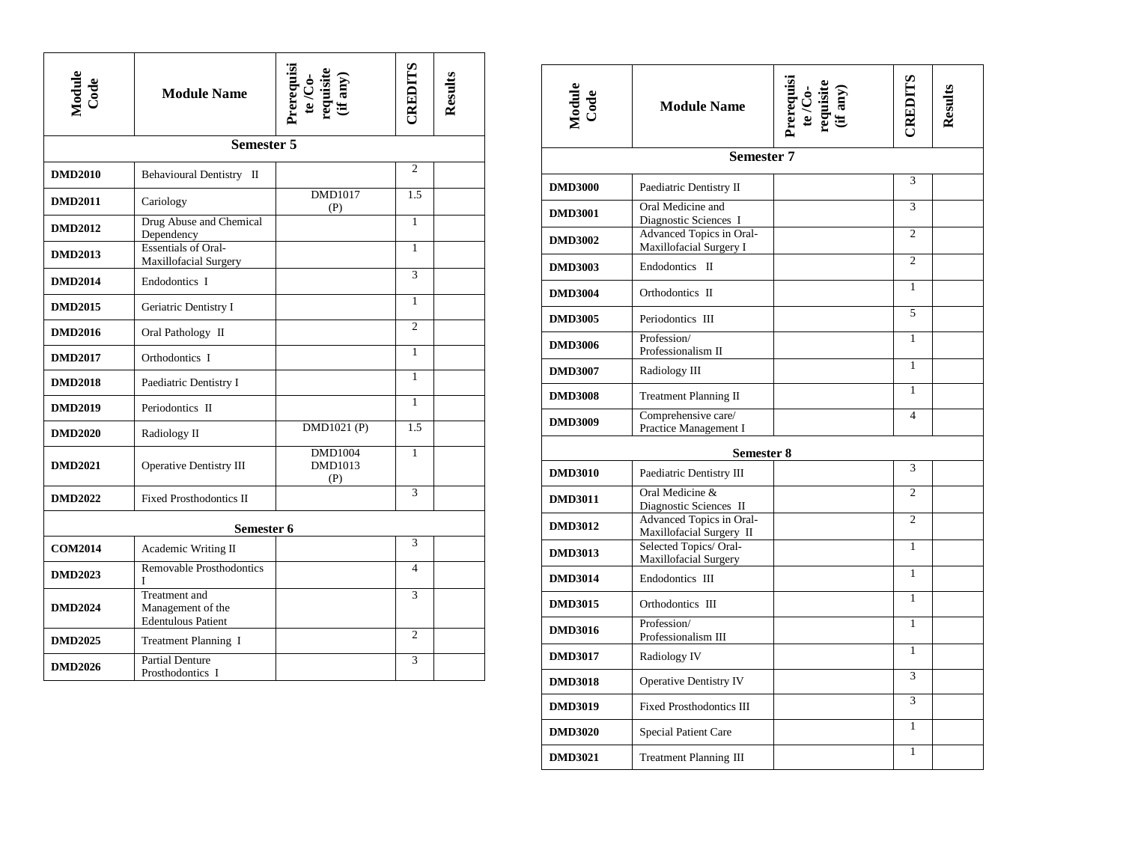| Module<br>Code | <b>Module Name</b>                                              | Prerequisi<br>te /Co-<br>requisite<br>(if any) | CREDITS                  | Results |  |
|----------------|-----------------------------------------------------------------|------------------------------------------------|--------------------------|---------|--|
|                | <b>Semester 5</b>                                               |                                                |                          |         |  |
| <b>DMD2010</b> | Behavioural Dentistry II                                        |                                                | $\overline{c}$           |         |  |
| <b>DMD2011</b> | Cariology                                                       | DMD1017<br>(P)                                 | 1.5                      |         |  |
| <b>DMD2012</b> | Drug Abuse and Chemical<br>Dependency                           |                                                | $\mathbf{1}$             |         |  |
| <b>DMD2013</b> | <b>Essentials of Oral-</b><br><b>Maxillofacial Surgery</b>      |                                                | 1                        |         |  |
| <b>DMD2014</b> | Endodontics I                                                   |                                                | $\overline{3}$           |         |  |
| <b>DMD2015</b> | Geriatric Dentistry I                                           |                                                | 1                        |         |  |
| <b>DMD2016</b> | Oral Pathology II                                               |                                                | $\overline{c}$           |         |  |
| <b>DMD2017</b> | Orthodontics I                                                  |                                                | 1                        |         |  |
| <b>DMD2018</b> | Paediatric Dentistry I                                          |                                                | $\mathbf{1}$             |         |  |
| <b>DMD2019</b> | Periodontics II                                                 |                                                | 1                        |         |  |
| <b>DMD2020</b> | Radiology II                                                    | DMD1021 (P)                                    | 1.5                      |         |  |
| <b>DMD2021</b> | Operative Dentistry III                                         | <b>DMD1004</b><br>DMD1013<br>(P)               | 1                        |         |  |
| <b>DMD2022</b> | <b>Fixed Prosthodontics II</b>                                  |                                                | 3                        |         |  |
| Semester 6     |                                                                 |                                                |                          |         |  |
| <b>COM2014</b> | Academic Writing II                                             |                                                | 3                        |         |  |
| <b>DMD2023</b> | Removable Prosthodontics<br>L                                   |                                                | $\overline{\mathcal{L}}$ |         |  |
| <b>DMD2024</b> | Treatment and<br>Management of the<br><b>Edentulous Patient</b> |                                                | 3                        |         |  |
| <b>DMD2025</b> | <b>Treatment Planning I</b>                                     |                                                | $\overline{c}$           |         |  |
| <b>DMD2026</b> | <b>Partial Denture</b><br>Prosthodontics I                      |                                                | 3                        |         |  |

| Module<br>Code | <b>Module Name</b>                                   | Prerequisite<br>te /Co-<br>requisite<br>(if any) | <b>ERLITS</b>  | Results |  |
|----------------|------------------------------------------------------|--------------------------------------------------|----------------|---------|--|
|                | <b>Semester 7</b>                                    |                                                  |                |         |  |
| <b>DMD3000</b> | Paediatric Dentistry II                              |                                                  | 3              |         |  |
| <b>DMD3001</b> | Oral Medicine and<br>Diagnostic Sciences I           |                                                  | 3              |         |  |
| <b>DMD3002</b> | Advanced Topics in Oral-<br>Maxillofacial Surgery I  |                                                  | $\overline{2}$ |         |  |
| <b>DMD3003</b> | Endodontics II                                       |                                                  | $\overline{2}$ |         |  |
| <b>DMD3004</b> | Orthodontics II                                      |                                                  | 1              |         |  |
| <b>DMD3005</b> | Periodontics III                                     |                                                  | 5              |         |  |
| <b>DMD3006</b> | Profession/<br>Professionalism II                    |                                                  | 1              |         |  |
| <b>DMD3007</b> | Radiology III                                        |                                                  | 1              |         |  |
| <b>DMD3008</b> | <b>Treatment Planning II</b>                         |                                                  | 1              |         |  |
| <b>DMD3009</b> | Comprehensive care/<br>Practice Management I         |                                                  | $\overline{4}$ |         |  |
| Semester 8     |                                                      |                                                  |                |         |  |
| <b>DMD3010</b> | Paediatric Dentistry III                             |                                                  | 3              |         |  |
| <b>DMD3011</b> | Oral Medicine &<br>Diagnostic Sciences II            |                                                  | $\overline{2}$ |         |  |
| <b>DMD3012</b> | Advanced Topics in Oral-<br>Maxillofacial Surgery II |                                                  | $\overline{c}$ |         |  |
| <b>DMD3013</b> | Selected Topics/ Oral-<br>Maxillofacial Surgery      |                                                  | 1              |         |  |
| <b>DMD3014</b> | Endodontics III                                      |                                                  | 1              |         |  |
| <b>DMD3015</b> | Orthodontics III                                     |                                                  | 1              |         |  |
| <b>DMD3016</b> | Profession/<br>Professionalism III                   |                                                  | $\mathbf{1}$   |         |  |
| <b>DMD3017</b> | Radiology IV                                         |                                                  | 1              |         |  |
| <b>DMD3018</b> | <b>Operative Dentistry IV</b>                        |                                                  | 3              |         |  |
| <b>DMD3019</b> | <b>Fixed Prosthodontics III</b>                      |                                                  | 3              |         |  |
| <b>DMD3020</b> | Special Patient Care                                 |                                                  | $\mathbf{1}$   |         |  |
| <b>DMD3021</b> | Treatment Planning III                               |                                                  | $\mathbf{1}$   |         |  |